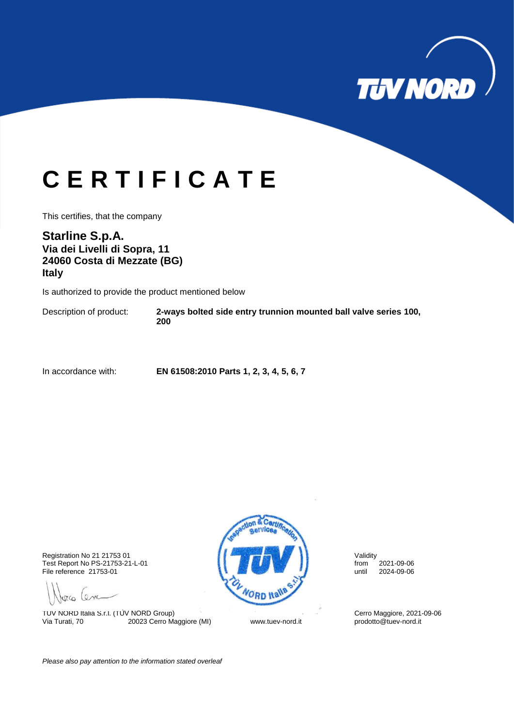

## **C E R T I F I C A T E**

This certifies, that the company

### **Starline S.p.A. Via dei Livelli di Sopra, 11 24060 Costa di Mezzate (BG) Italy**

Is authorized to provide the product mentioned below

Description of product: **2-ways bolted side entry trunnion mounted ball valve series 100, 200**

In accordance with: **EN 61508:2010 Parts 1, 2, 3, 4, 5, 6, 7**

Test Report No PS-21753-21-L-01 from 2021-09-06 File reference 21753-01

porco Cenc

TUV NORD Italia S.r.l. (TUV NORD Group)<br>
Via Turati, 70 20023 Cerro Maggiore (MI) Cerro Woww.tuev-nord.it prodotto@tuev-nord.it 20023 Cerro Maggiore (MI) www.tuev-nord.it



*Please also pay attention to the information stated overleaf*